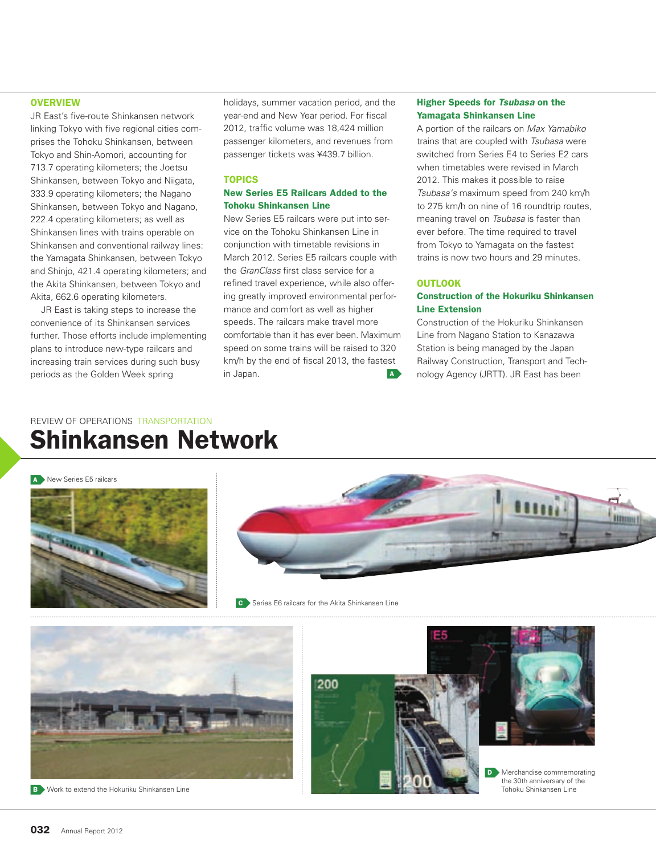JR East's five-route Shinkansen network linking Tokyo with five regional cities comprises the Tohoku Shinkansen, between Tokyo and Shin-Aomori, accounting for 713.7 operating kilometers; the Joetsu Shinkansen, between Tokyo and Niigata, 333.9 operating kilometers; the Nagano Shinkansen, between Tokyo and Nagano, 222.4 operating kilometers; as well as Shinkansen lines with trains operable on Shinkansen and conventional railway lines: the Yamagata Shinkansen, between Tokyo and Shinjo, 421.4 operating kilometers; and the Akita Shinkansen, between Tokyo and Akita, 662.6 operating kilometers.

JR East is taking steps to increase the convenience of its Shinkansen services further. Those efforts include implementing plans to introduce new-type railcars and increasing train services during such busy periods as the Golden Week spring

holidays, summer vacation period, and the year-end and New Year period. For fiscal 2012, traffic volume was 18,424 million passenger kilometers, and revenues from passenger tickets was ¥439.7 billion.

#### TOPICS

#### New Series E5 Railcars Added to the Tohoku Shinkansen Line

New Series E5 railcars were put into service on the Tohoku Shinkansen Line in conjunction with timetable revisions in March 2012. Series E5 railcars couple with the *GranClass* first class service for a refined travel experience, while also offering greatly improved environmental performance and comfort as well as higher speeds. The railcars make travel more comfortable than it has ever been. Maximum speed on some trains will be raised to 320 km/h by the end of fiscal 2013, the fastest in Japan. A structure of the structure of the structure of the structure of the structure of the structure of the structure of the structure of the structure of the structure of the structure of the structure of the struct

#### Higher Speeds for *Tsubasa* on the Yamagata Shinkansen Line

A portion of the railcars on *Max Yamabiko* trains that are coupled with *Tsubasa* were switched from Series E4 to Series E2 cars when timetables were revised in March 2012. This makes it possible to raise *Tsubasa's* maximum speed from 240 km/h to 275 km/h on nine of 16 roundtrip routes, meaning travel on *Tsubasa* is faster than ever before. The time required to travel from Tokyo to Yamagata on the fastest trains is now two hours and 29 minutes.

#### OUTLOOK

#### Construction of the Hokuriku Shinkansen Line Extension

Construction of the Hokuriku Shinkansen Line from Nagano Station to Kanazawa Station is being managed by the Japan Railway Construction, Transport and Technology Agency (JRTT). JR East has been

## REVIEW OF OPERATIONS TRANSPORTATION Shinkansen Network

#### A New Series E5 railcars





**C** Series E6 railcars for the Akita Shinkansen Line

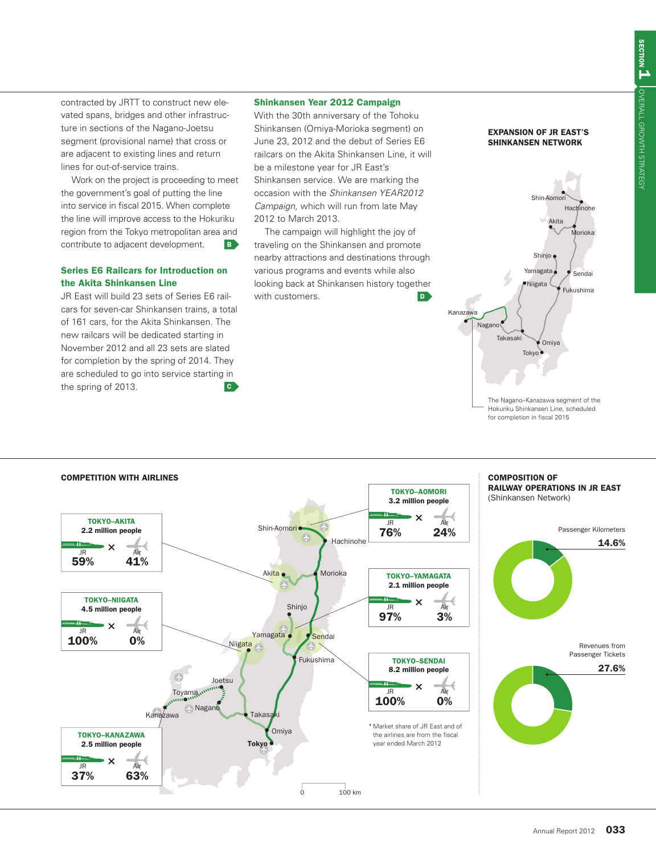contracted by JRTT to construct new elevated spans, bridges and other infrastructure in sections of the Nagano-Joetsu segment (provisional name) that cross or are adjacent to existing lines and return lines for out-of-service trains.

Work on the project is proceeding to meet the government's goal of putting the line into service in fiscal 2015. When complete the line will improve access to the Hokuriku region from the Tokyo metropolitan area and contribute to adjacent development.

#### Series E6 Railcars for Introduction on the Akita Shinkansen Line

JR East will build 23 sets of Series E6 railcars for seven-car Shinkansen trains, a total of 161 cars, for the Akita Shinkansen. The new railcars will be dedicated starting in November 2012 and all 23 sets are slated for completion by the spring of 2014. They are scheduled to go into service starting in the spring of 2013.

#### Shinkansen Year 2012 Campaign

With the 30th anniversary of the Tohoku Shinkansen (Omiya-Morioka segment) on June 23, 2012 and the debut of Series E6 railcars on the Akita Shinkansen Line, it will be a milestone year for JR East's Shinkansen service. We are marking the occasion with the *Shinkansen YEAR2012 Campaign*, which will run from late May 2012 to March 2013.

The campaign will highlight the joy of traveling on the Shinkansen and promote nearby attractions and destinations through various programs and events while also looking back at Shinkansen history together with customers.



Hokuriku Shinkansen Line, scheduled for completion in fiscal 2015

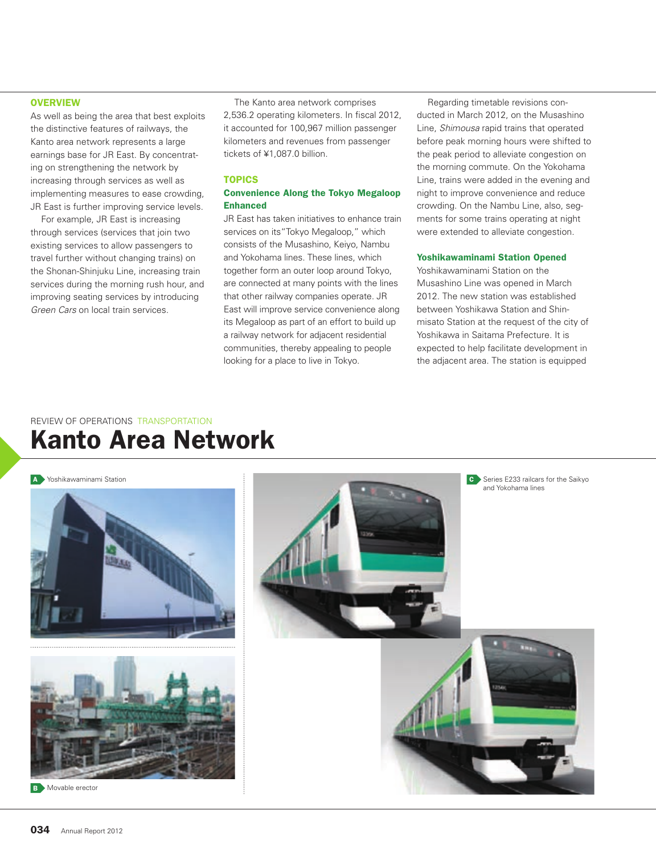As well as being the area that best exploits the distinctive features of railways, the Kanto area network represents a large earnings base for JR East. By concentrating on strengthening the network by increasing through services as well as implementing measures to ease crowding, JR East is further improving service levels.

For example, JR East is increasing through services (services that join two existing services to allow passengers to travel further without changing trains) on the Shonan-Shinjuku Line, increasing train services during the morning rush hour, and improving seating services by introducing *Green Cars* on local train services.

The Kanto area network comprises 2,536.2 operating kilometers. In fiscal 2012, it accounted for 100,967 million passenger kilometers and revenues from passenger tickets of ¥1,087.0 billion.

#### TOPICS

#### Convenience Along the Tokyo Megaloop Enhanced

JR East has taken initiatives to enhance train services on its"Tokyo Megaloop," which consists of the Musashino, Keiyo, Nambu and Yokohama lines. These lines, which together form an outer loop around Tokyo, are connected at many points with the lines that other railway companies operate. JR East will improve service convenience along its Megaloop as part of an effort to build up a railway network for adjacent residential communities, thereby appealing to people looking for a place to live in Tokyo.

Regarding timetable revisions conducted in March 2012, on the Musashino Line, *Shimousa* rapid trains that operated before peak morning hours were shifted to the peak period to alleviate congestion on the morning commute. On the Yokohama Line, trains were added in the evening and night to improve convenience and reduce crowding. On the Nambu Line, also, segments for some trains operating at night were extended to alleviate congestion.

#### Yoshikawaminami Station Opened

Yoshikawaminami Station on the Musashino Line was opened in March 2012. The new station was established between Yoshikawa Station and Shinmisato Station at the request of the city of Yoshikawa in Saitama Prefecture. It is expected to help facilitate development in the adjacent area. The station is equipped

## REVIEW OF OPERATIONS TRANSPORTATION Kanto Area Network

A Yoshikawaminami Station



**B** Movable erector

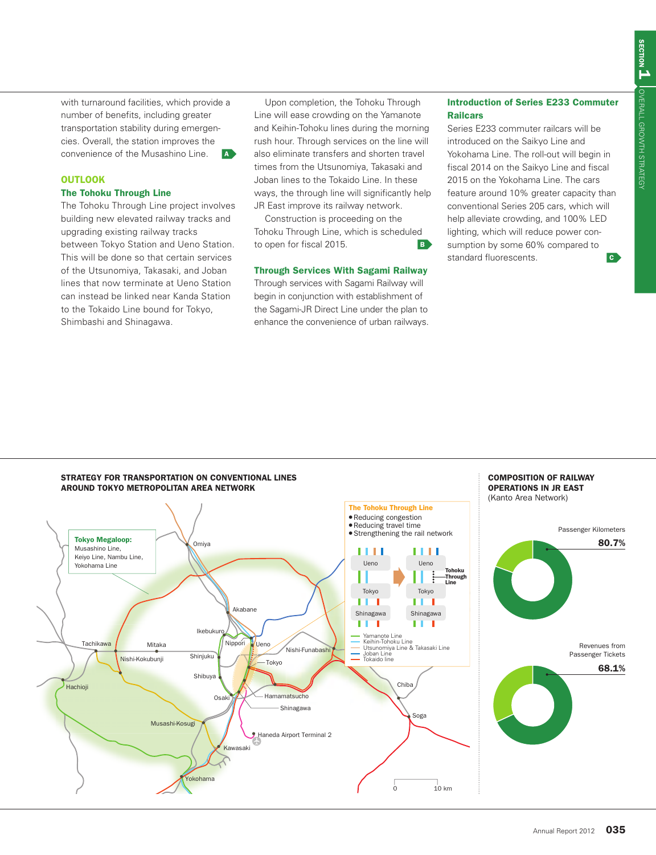with turnaround facilities, which provide a number of benefits, including greater transportation stability during emergencies. Overall, the station improves the convenience of the Musashino Line. **A** 

#### OUTLOOK

#### The Tohoku Through Line

The Tohoku Through Line project involves building new elevated railway tracks and upgrading existing railway tracks between Tokyo Station and Ueno Station. This will be done so that certain services of the Utsunomiya, Takasaki, and Joban lines that now terminate at Ueno Station can instead be linked near Kanda Station to the Tokaido Line bound for Tokyo, Shimbashi and Shinagawa.

Upon completion, the Tohoku Through Line will ease crowding on the Yamanote and Keihin-Tohoku lines during the morning rush hour. Through services on the line will also eliminate transfers and shorten travel times from the Utsunomiya, Takasaki and Joban lines to the Tokaido Line. In these ways, the through line will significantly help JR East improve its railway network.

Construction is proceeding on the Tohoku Through Line, which is scheduled to open for fiscal 2015.

#### Through Services With Sagami Railway

Through services with Sagami Railway will begin in conjunction with establishment of the Sagami-JR Direct Line under the plan to enhance the convenience of urban railways.

#### Introduction of Series E233 Commuter Railcars

Series E233 commuter railcars will be introduced on the Saikyo Line and Yokohama Line. The roll-out will begin in fiscal 2014 on the Saikyo Line and fiscal 2015 on the Yokohama Line. The cars feature around 10% greater capacity than conventional Series 205 cars, which will help alleviate crowding, and 100% LED lighting, which will reduce power consumption by some 60% compared to standard fluorescents.

COMPOSITION OF RAILWAY

#### STRATEGY FOR TRANSPORTATION ON CONVENTIONAL LINES AROUND TOKYO METROPOLITAN AREA NETWORK

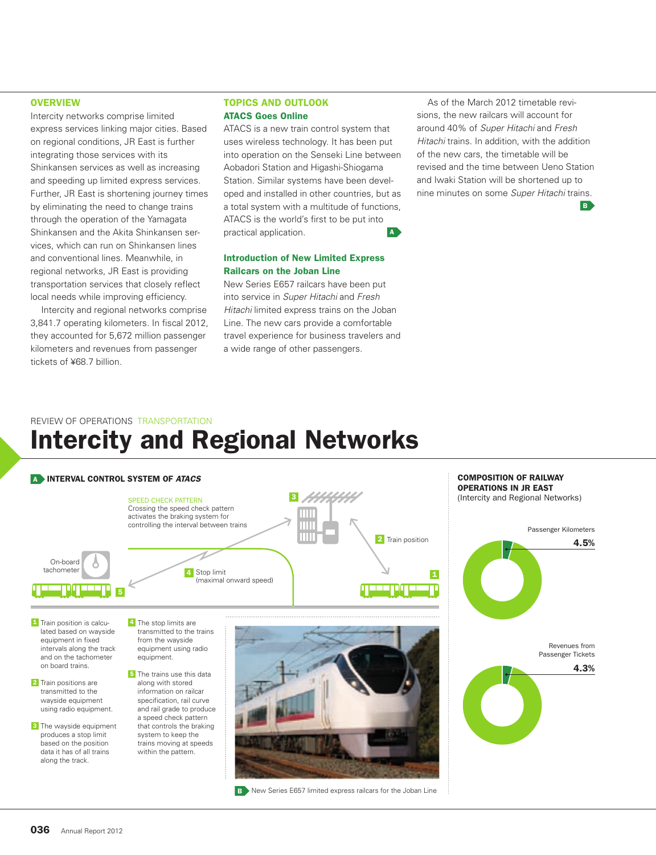Intercity networks comprise limited express services linking major cities. Based on regional conditions, JR East is further integrating those services with its Shinkansen services as well as increasing and speeding up limited express services. Further, JR East is shortening journey times by eliminating the need to change trains through the operation of the Yamagata Shinkansen and the Akita Shinkansen services, which can run on Shinkansen lines and conventional lines. Meanwhile, in regional networks, JR East is providing transportation services that closely reflect local needs while improving efficiency.

Intercity and regional networks comprise 3,841.7 operating kilometers. In fiscal 2012, they accounted for 5,672 million passenger kilometers and revenues from passenger tickets of ¥68.7 billion.

#### TOPICS AND OUTLOOK ATACS Goes Online

ATACS is a new train control system that uses wireless technology. It has been put into operation on the Senseki Line between Aobadori Station and Higashi-Shiogama Station. Similar systems have been developed and installed in other countries, but as a total system with a multitude of functions, ATACS is the world's first to be put into practical application.

#### Introduction of New Limited Express Railcars on the Joban Line

New Series E657 railcars have been put into service in *Super Hitachi* and *Fresh Hitachi* limited express trains on the Joban Line. The new cars provide a comfortable travel experience for business travelers and a wide range of other passengers.

As of the March 2012 timetable revisions, the new railcars will account for around 40% of *Super Hitachi* and *Fresh Hitachi* trains. In addition, with the addition of the new cars, the timetable will be revised and the time between Ueno Station and Iwaki Station will be shortened up to nine minutes on some *Super Hitachi* trains.

B.

## REVIEW OF OPERATIONS TRANSPORTATION Intercity and Regional Networks